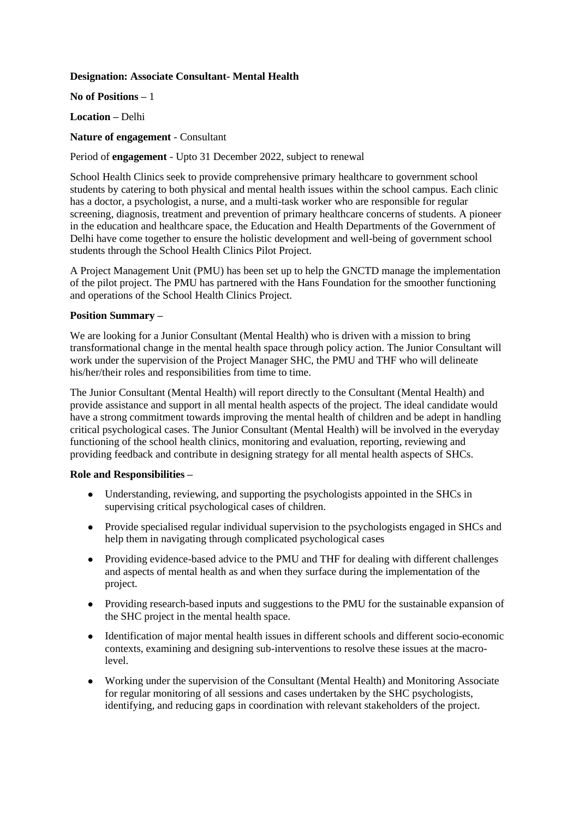# **Designation: Associate Consultant- Mental Health**

**No of Positions –** 1

**Location –** Delhi

# **Nature of engagement** - Consultant

Period of **engagement** - Upto 31 December 2022, subject to renewal

School Health Clinics seek to provide comprehensive primary healthcare to government school students by catering to both physical and mental health issues within the school campus. Each clinic has a doctor, a psychologist, a nurse, and a multi-task worker who are responsible for regular screening, diagnosis, treatment and prevention of primary healthcare concerns of students. A pioneer in the education and healthcare space, the Education and Health Departments of the Government of Delhi have come together to ensure the holistic development and well-being of government school students through the School Health Clinics Pilot Project.

A Project Management Unit (PMU) has been set up to help the GNCTD manage the implementation of the pilot project. The PMU has partnered with the Hans Foundation for the smoother functioning and operations of the School Health Clinics Project.

# **Position Summary –**

We are looking for a Junior Consultant (Mental Health) who is driven with a mission to bring transformational change in the mental health space through policy action. The Junior Consultant will work under the supervision of the Project Manager SHC, the PMU and THF who will delineate his/her/their roles and responsibilities from time to time.

The Junior Consultant (Mental Health) will report directly to the Consultant (Mental Health) and provide assistance and support in all mental health aspects of the project. The ideal candidate would have a strong commitment towards improving the mental health of children and be adept in handling critical psychological cases. The Junior Consultant (Mental Health) will be involved in the everyday functioning of the school health clinics, monitoring and evaluation, reporting, reviewing and providing feedback and contribute in designing strategy for all mental health aspects of SHCs.

### **Role and Responsibilities –**

- Understanding, reviewing, and supporting the psychologists appointed in the SHCs in supervising critical psychological cases of children.
- Provide specialised regular individual supervision to the psychologists engaged in SHCs and help them in navigating through complicated psychological cases
- Providing evidence-based advice to the PMU and THF for dealing with different challenges and aspects of mental health as and when they surface during the implementation of the project.
- Providing research-based inputs and suggestions to the PMU for the sustainable expansion of the SHC project in the mental health space.
- Identification of major mental health issues in different schools and different socio-economic contexts, examining and designing sub-interventions to resolve these issues at the macrolevel.
- Working under the supervision of the Consultant (Mental Health) and Monitoring Associate for regular monitoring of all sessions and cases undertaken by the SHC psychologists, identifying, and reducing gaps in coordination with relevant stakeholders of the project.